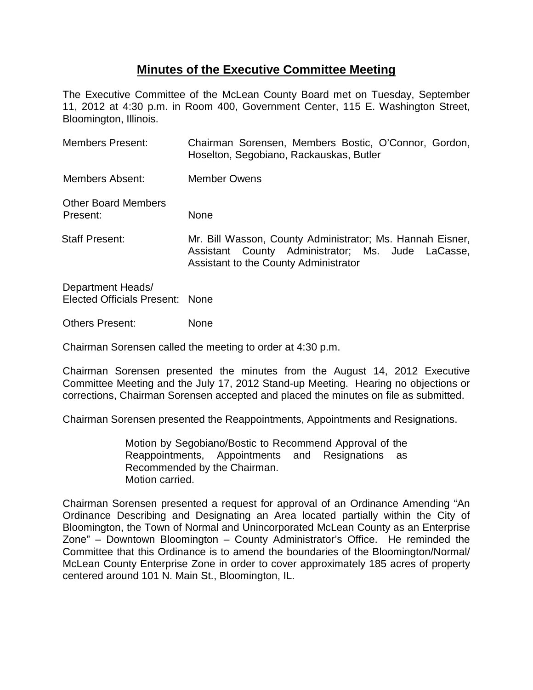## **Minutes of the Executive Committee Meeting**

The Executive Committee of the McLean County Board met on Tuesday, September 11, 2012 at 4:30 p.m. in Room 400, Government Center, 115 E. Washington Street, Bloomington, Illinois.

| <b>Members Present:</b>                | Chairman Sorensen, Members Bostic, O'Connor, Gordon,<br>Hoselton, Segobiano, Rackauskas, Butler                                                         |
|----------------------------------------|---------------------------------------------------------------------------------------------------------------------------------------------------------|
| Members Absent:                        | <b>Member Owens</b>                                                                                                                                     |
| <b>Other Board Members</b><br>Present: | None                                                                                                                                                    |
| Staff Present:                         | Mr. Bill Wasson, County Administrator; Ms. Hannah Eisner,<br>Assistant County Administrator; Ms. Jude LaCasse,<br>Assistant to the County Administrator |
| Department Heads/                      |                                                                                                                                                         |

Elected Officials Present: None

Others Present: None

Chairman Sorensen called the meeting to order at 4:30 p.m.

Chairman Sorensen presented the minutes from the August 14, 2012 Executive Committee Meeting and the July 17, 2012 Stand-up Meeting. Hearing no objections or corrections, Chairman Sorensen accepted and placed the minutes on file as submitted.

Chairman Sorensen presented the Reappointments, Appointments and Resignations.

Motion by Segobiano/Bostic to Recommend Approval of the Reappointments, Appointments and Resignations as Recommended by the Chairman. Motion carried.

Chairman Sorensen presented a request for approval of an Ordinance Amending "An Ordinance Describing and Designating an Area located partially within the City of Bloomington, the Town of Normal and Unincorporated McLean County as an Enterprise Zone" – Downtown Bloomington – County Administrator's Office. He reminded the Committee that this Ordinance is to amend the boundaries of the Bloomington/Normal/ McLean County Enterprise Zone in order to cover approximately 185 acres of property centered around 101 N. Main St., Bloomington, IL.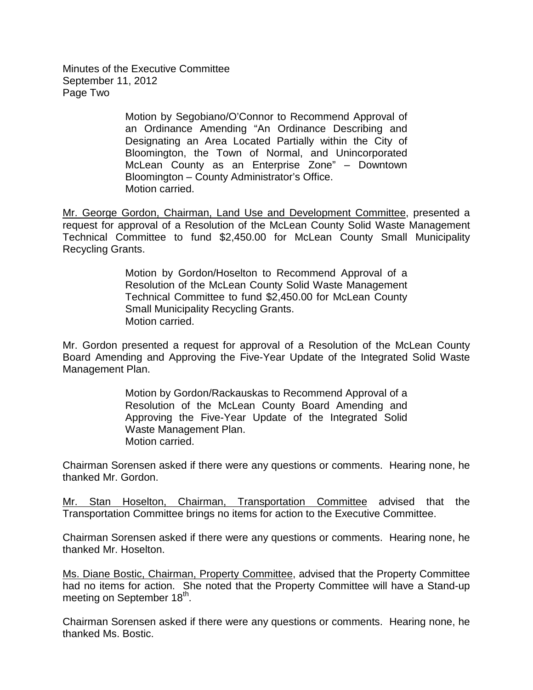Minutes of the Executive Committee September 11, 2012 Page Two

> Motion by Segobiano/O'Connor to Recommend Approval of an Ordinance Amending "An Ordinance Describing and Designating an Area Located Partially within the City of Bloomington, the Town of Normal, and Unincorporated McLean County as an Enterprise Zone" – Downtown Bloomington – County Administrator's Office. Motion carried.

Mr. George Gordon, Chairman, Land Use and Development Committee, presented a request for approval of a Resolution of the McLean County Solid Waste Management Technical Committee to fund \$2,450.00 for McLean County Small Municipality Recycling Grants.

> Motion by Gordon/Hoselton to Recommend Approval of a Resolution of the McLean County Solid Waste Management Technical Committee to fund \$2,450.00 for McLean County Small Municipality Recycling Grants. Motion carried.

Mr. Gordon presented a request for approval of a Resolution of the McLean County Board Amending and Approving the Five-Year Update of the Integrated Solid Waste Management Plan.

> Motion by Gordon/Rackauskas to Recommend Approval of a Resolution of the McLean County Board Amending and Approving the Five-Year Update of the Integrated Solid Waste Management Plan. Motion carried.

Chairman Sorensen asked if there were any questions or comments. Hearing none, he thanked Mr. Gordon.

Mr. Stan Hoselton, Chairman, Transportation Committee advised that the Transportation Committee brings no items for action to the Executive Committee.

Chairman Sorensen asked if there were any questions or comments. Hearing none, he thanked Mr. Hoselton.

Ms. Diane Bostic, Chairman, Property Committee, advised that the Property Committee had no items for action. She noted that the Property Committee will have a Stand-up meeting on September 18<sup>th</sup>.

Chairman Sorensen asked if there were any questions or comments. Hearing none, he thanked Ms. Bostic.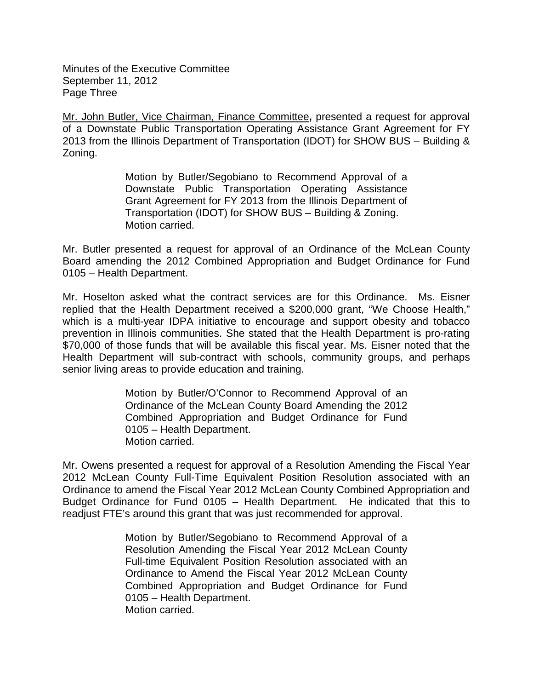Minutes of the Executive Committee September 11, 2012 Page Three

Mr. John Butler, Vice Chairman, Finance Committee**,** presented a request for approval of a Downstate Public Transportation Operating Assistance Grant Agreement for FY 2013 from the Illinois Department of Transportation (IDOT) for SHOW BUS – Building & Zoning.

> Motion by Butler/Segobiano to Recommend Approval of a Downstate Public Transportation Operating Assistance Grant Agreement for FY 2013 from the Illinois Department of Transportation (IDOT) for SHOW BUS – Building & Zoning. Motion carried.

Mr. Butler presented a request for approval of an Ordinance of the McLean County Board amending the 2012 Combined Appropriation and Budget Ordinance for Fund 0105 – Health Department.

Mr. Hoselton asked what the contract services are for this Ordinance. Ms. Eisner replied that the Health Department received a \$200,000 grant, "We Choose Health," which is a multi-year IDPA initiative to encourage and support obesity and tobacco prevention in Illinois communities. She stated that the Health Department is pro-rating \$70,000 of those funds that will be available this fiscal year. Ms. Eisner noted that the Health Department will sub-contract with schools, community groups, and perhaps senior living areas to provide education and training.

> Motion by Butler/O'Connor to Recommend Approval of an Ordinance of the McLean County Board Amending the 2012 Combined Appropriation and Budget Ordinance for Fund 0105 – Health Department. Motion carried.

Mr. Owens presented a request for approval of a Resolution Amending the Fiscal Year 2012 McLean County Full-Time Equivalent Position Resolution associated with an Ordinance to amend the Fiscal Year 2012 McLean County Combined Appropriation and Budget Ordinance for Fund 0105 – Health Department. He indicated that this to readjust FTE's around this grant that was just recommended for approval.

> Motion by Butler/Segobiano to Recommend Approval of a Resolution Amending the Fiscal Year 2012 McLean County Full-time Equivalent Position Resolution associated with an Ordinance to Amend the Fiscal Year 2012 McLean County Combined Appropriation and Budget Ordinance for Fund 0105 – Health Department. Motion carried.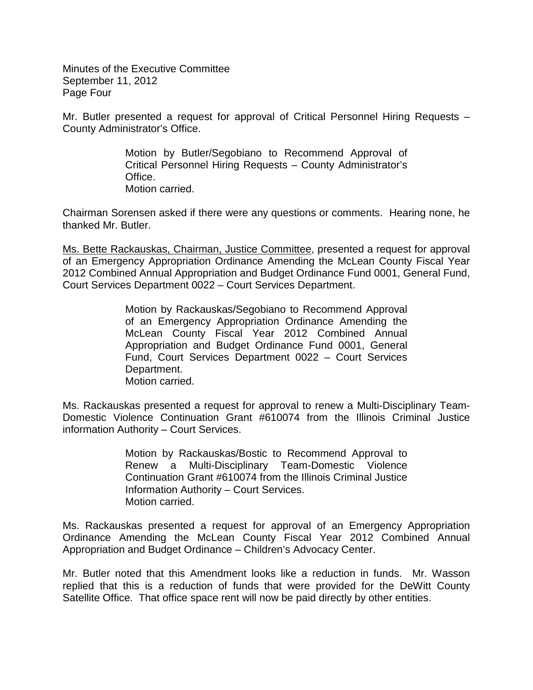Minutes of the Executive Committee September 11, 2012 Page Four

Mr. Butler presented a request for approval of Critical Personnel Hiring Requests – County Administrator's Office.

> Motion by Butler/Segobiano to Recommend Approval of Critical Personnel Hiring Requests – County Administrator's Office. Motion carried.

Chairman Sorensen asked if there were any questions or comments. Hearing none, he thanked Mr. Butler.

Ms. Bette Rackauskas, Chairman, Justice Committee, presented a request for approval of an Emergency Appropriation Ordinance Amending the McLean County Fiscal Year 2012 Combined Annual Appropriation and Budget Ordinance Fund 0001, General Fund, Court Services Department 0022 – Court Services Department.

> Motion by Rackauskas/Segobiano to Recommend Approval of an Emergency Appropriation Ordinance Amending the McLean County Fiscal Year 2012 Combined Annual Appropriation and Budget Ordinance Fund 0001, General Fund, Court Services Department 0022 – Court Services Department. Motion carried.

Ms. Rackauskas presented a request for approval to renew a Multi-Disciplinary Team-Domestic Violence Continuation Grant #610074 from the Illinois Criminal Justice information Authority – Court Services.

> Motion by Rackauskas/Bostic to Recommend Approval to Renew a Multi-Disciplinary Team-Domestic Violence Continuation Grant #610074 from the Illinois Criminal Justice Information Authority – Court Services. Motion carried.

Ms. Rackauskas presented a request for approval of an Emergency Appropriation Ordinance Amending the McLean County Fiscal Year 2012 Combined Annual Appropriation and Budget Ordinance – Children's Advocacy Center.

Mr. Butler noted that this Amendment looks like a reduction in funds. Mr. Wasson replied that this is a reduction of funds that were provided for the DeWitt County Satellite Office. That office space rent will now be paid directly by other entities.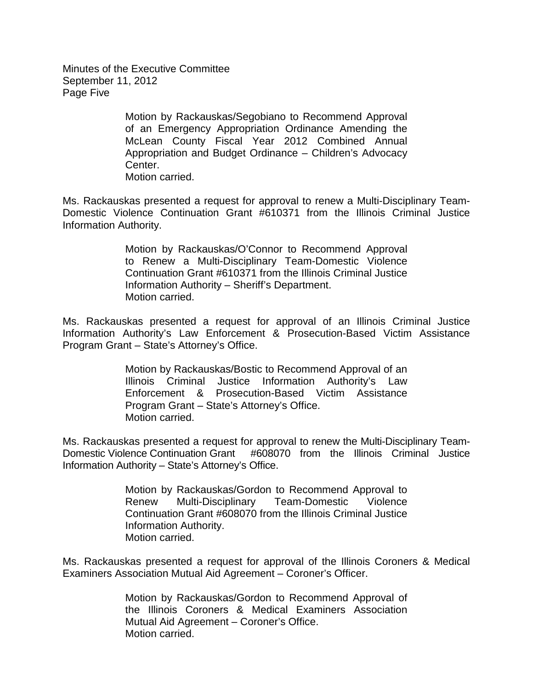Minutes of the Executive Committee September 11, 2012 Page Five

> Motion by Rackauskas/Segobiano to Recommend Approval of an Emergency Appropriation Ordinance Amending the McLean County Fiscal Year 2012 Combined Annual Appropriation and Budget Ordinance – Children's Advocacy Center. Motion carried.

Ms. Rackauskas presented a request for approval to renew a Multi-Disciplinary Team-Domestic Violence Continuation Grant #610371 from the Illinois Criminal Justice Information Authority.

> Motion by Rackauskas/O'Connor to Recommend Approval to Renew a Multi-Disciplinary Team-Domestic Violence Continuation Grant #610371 from the Illinois Criminal Justice Information Authority – Sheriff's Department. Motion carried.

Ms. Rackauskas presented a request for approval of an Illinois Criminal Justice Information Authority's Law Enforcement & Prosecution-Based Victim Assistance Program Grant – State's Attorney's Office.

> Motion by Rackauskas/Bostic to Recommend Approval of an Illinois Criminal Justice Information Authority's Law Enforcement & Prosecution-Based Victim Assistance Program Grant – State's Attorney's Office. Motion carried.

Ms. Rackauskas presented a request for approval to renew the Multi-Disciplinary Team-Domestic Violence Continuation Grant #608070 from the Illinois Criminal Justice Information Authority – State's Attorney's Office.

> Motion by Rackauskas/Gordon to Recommend Approval to Renew Multi-Disciplinary Team-Domestic Violence Continuation Grant #608070 from the Illinois Criminal Justice Information Authority. Motion carried.

Ms. Rackauskas presented a request for approval of the Illinois Coroners & Medical Examiners Association Mutual Aid Agreement – Coroner's Officer.

> Motion by Rackauskas/Gordon to Recommend Approval of the Illinois Coroners & Medical Examiners Association Mutual Aid Agreement – Coroner's Office. Motion carried.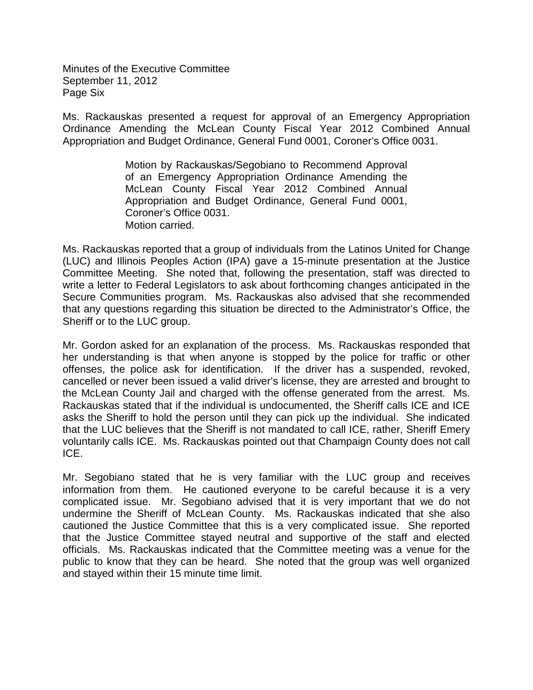Minutes of the Executive Committee September 11, 2012 Page Six

Ms. Rackauskas presented a request for approval of an Emergency Appropriation Ordinance Amending the McLean County Fiscal Year 2012 Combined Annual Appropriation and Budget Ordinance, General Fund 0001, Coroner's Office 0031.

> Motion by Rackauskas/Segobiano to Recommend Approval of an Emergency Appropriation Ordinance Amending the McLean County Fiscal Year 2012 Combined Annual Appropriation and Budget Ordinance, General Fund 0001, Coroner's Office 0031. Motion carried.

Ms. Rackauskas reported that a group of individuals from the Latinos United for Change (LUC) and Illinois Peoples Action (IPA) gave a 15-minute presentation at the Justice Committee Meeting. She noted that, following the presentation, staff was directed to write a letter to Federal Legislators to ask about forthcoming changes anticipated in the Secure Communities program. Ms. Rackauskas also advised that she recommended that any questions regarding this situation be directed to the Administrator's Office, the Sheriff or to the LUC group.

Mr. Gordon asked for an explanation of the process. Ms. Rackauskas responded that her understanding is that when anyone is stopped by the police for traffic or other offenses, the police ask for identification. If the driver has a suspended, revoked, cancelled or never been issued a valid driver's license, they are arrested and brought to the McLean County Jail and charged with the offense generated from the arrest. Ms. Rackauskas stated that if the individual is undocumented, the Sheriff calls ICE and ICE asks the Sheriff to hold the person until they can pick up the individual. She indicated that the LUC believes that the Sheriff is not mandated to call ICE, rather, Sheriff Emery voluntarily calls ICE. Ms. Rackauskas pointed out that Champaign County does not call ICE.

Mr. Segobiano stated that he is very familiar with the LUC group and receives information from them. He cautioned everyone to be careful because it is a very complicated issue. Mr. Segobiano advised that it is very important that we do not undermine the Sheriff of McLean County. Ms. Rackauskas indicated that she also cautioned the Justice Committee that this is a very complicated issue. She reported that the Justice Committee stayed neutral and supportive of the staff and elected officials. Ms. Rackauskas indicated that the Committee meeting was a venue for the public to know that they can be heard. She noted that the group was well organized and stayed within their 15 minute time limit.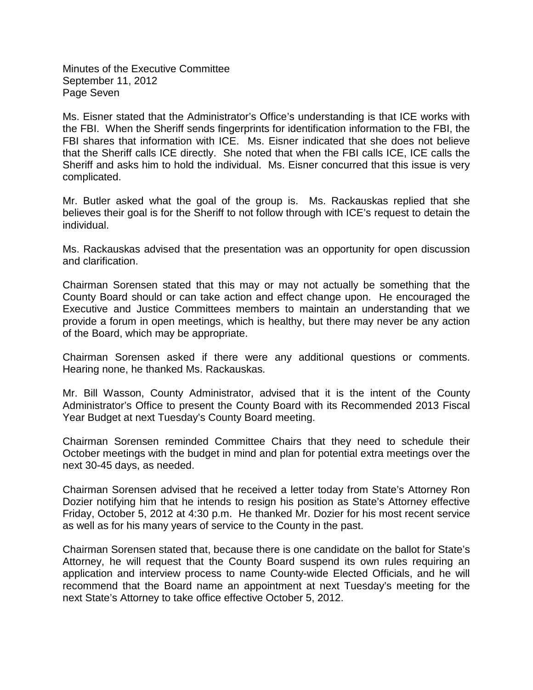Minutes of the Executive Committee September 11, 2012 Page Seven

Ms. Eisner stated that the Administrator's Office's understanding is that ICE works with the FBI. When the Sheriff sends fingerprints for identification information to the FBI, the FBI shares that information with ICE. Ms. Eisner indicated that she does not believe that the Sheriff calls ICE directly. She noted that when the FBI calls ICE, ICE calls the Sheriff and asks him to hold the individual. Ms. Eisner concurred that this issue is very complicated.

Mr. Butler asked what the goal of the group is. Ms. Rackauskas replied that she believes their goal is for the Sheriff to not follow through with ICE's request to detain the individual.

Ms. Rackauskas advised that the presentation was an opportunity for open discussion and clarification.

Chairman Sorensen stated that this may or may not actually be something that the County Board should or can take action and effect change upon. He encouraged the Executive and Justice Committees members to maintain an understanding that we provide a forum in open meetings, which is healthy, but there may never be any action of the Board, which may be appropriate.

Chairman Sorensen asked if there were any additional questions or comments. Hearing none, he thanked Ms. Rackauskas.

Mr. Bill Wasson, County Administrator, advised that it is the intent of the County Administrator's Office to present the County Board with its Recommended 2013 Fiscal Year Budget at next Tuesday's County Board meeting.

Chairman Sorensen reminded Committee Chairs that they need to schedule their October meetings with the budget in mind and plan for potential extra meetings over the next 30-45 days, as needed.

Chairman Sorensen advised that he received a letter today from State's Attorney Ron Dozier notifying him that he intends to resign his position as State's Attorney effective Friday, October 5, 2012 at 4:30 p.m. He thanked Mr. Dozier for his most recent service as well as for his many years of service to the County in the past.

Chairman Sorensen stated that, because there is one candidate on the ballot for State's Attorney, he will request that the County Board suspend its own rules requiring an application and interview process to name County-wide Elected Officials, and he will recommend that the Board name an appointment at next Tuesday's meeting for the next State's Attorney to take office effective October 5, 2012.